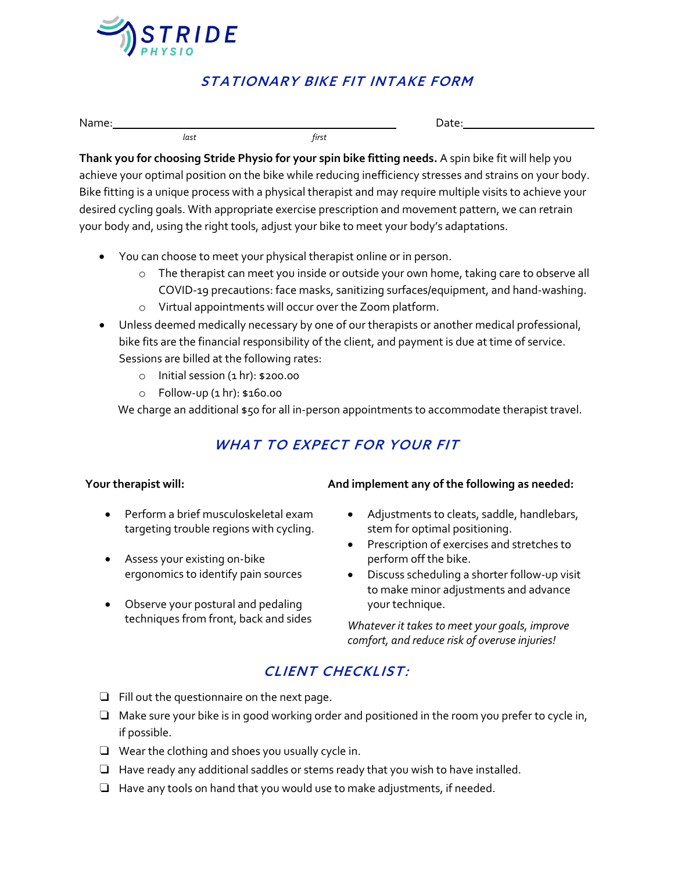

 *last first*

### STATIONARY BIKE FIT INTAKE FORM

Name: Date:

**Thank you for choosing Stride Physio for your spin bike fitting needs.** A spin bike fit will help you achieve your optimal position on the bike while reducing inefficiency stresses and strains on your body. Bike fitting is a unique process with a physical therapist and may require multiple visits to achieve your desired cycling goals. With appropriate exercise prescription and movement pattern, we can retrain your body and, using the right tools, adjust your bike to meet your body's adaptations.

- You can choose to meet your physical therapist online or in person.
	- o The therapist can meet you inside or outside your own home, taking care to observe all COVID-19 precautions: face masks, sanitizing surfaces/equipment, and hand-washing.
	- o Virtual appointments will occur over the Zoom platform.
- Unless deemed medically necessary by one of our therapists or another medical professional, bike fits are the financial responsibility of the client, and payment is due at time of service. Sessions are billed at the following rates:
	- o Initial session (1 hr): \$200.00
	- o Follow-up (1 hr): \$160.00

We charge an additional \$50 for all in-person appointments to accommodate therapist travel.

# WHAT TO EXPECT FOR YOUR FIT

#### **Your therapist will:**

- Perform a brief musculoskeletal exam targeting trouble regions with cycling.
- Assess your existing on-bike ergonomics to identify pain sources
- Observe your postural and pedaling techniques from front, back and sides

#### **And implement any of the following as needed:**

- Adjustments to cleats, saddle, handlebars, stem for optimal positioning.
- Prescription of exercises and stretches to perform off the bike.
- Discuss scheduling a shorter follow-up visit to make minor adjustments and advance your technique.

*Whatever it takes to meet your goals, improve comfort, and reduce risk of overuse injuries!*

# CLIENT CHECKLIST:

- ❏ Fill out the questionnaire on the next page.
- ❏ Make sure your bike is in good working order and positioned in the room you prefer to cycle in, if possible.
- ❏ Wear the clothing and shoes you usually cycle in.
- ❏ Have ready any additional saddles or stems ready that you wish to have installed.
- ❏ Have any tools on hand that you would use to make adjustments, if needed.